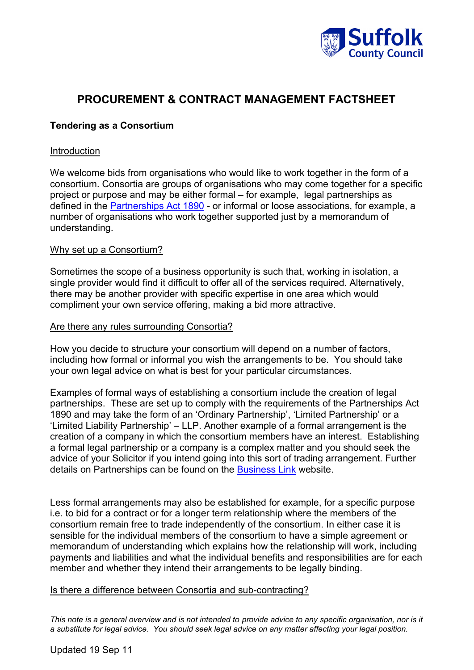

# **PROCUREMENT & CONTRACT MANAGEMENT FACTSHEET**

# **Tendering as a Consortium**

## Introduction

We welcome bids from organisations who would like to work together in the form of a consortium. Consortia are groups of organisations who may come together for a specific project or purpose and may be either formal – for example, legal partnerships as defined in the Partnerships Act 1890 - [or informal or lo](http://www.legislation.gov.uk/ukpga/Vict/53-54/39/contents)ose associations, for example, a number of organisations who work together supported just by a memorandum of understanding.

# Why set up a Consortium?

Sometimes the scope of a business opportunity is such that, working in isolation, a single provider would find it difficult to offer all of the services required. Alternatively, there may be another provider with specific expertise in one area which would compliment your own service offering, making a bid more attractive.

### Are there any rules surrounding Consortia?

How you decide to structure your consortium will depend on a number of factors, including how formal or informal you wish the arrangements to be. You should take your own legal advice on what is best for your particular circumstances.

Examples of formal ways of establishing a consortium include the creation of legal partnerships. These are set up to comply with the requirements of the Partnerships Act 1890 and may take the form of an 'Ordinary Partnership', 'Limited Partnership' or a 'Limited Liability Partnership' – LLP. Another example of a formal arrangement is the creation of a company in which the consortium members have an interest. Establishing a formal legal partnership or a company is a complex matter and you should seek the advice of your Solicitor if you intend going into this sort of trading arrangement. Further details on Partnerships can be found on the [Business Link](http://www.businesslink.gov.uk/bdotg/action/detail?itemId=1073789609&type=RESOURCES) website.

Less formal arrangements may also be established for example, for a specific purpose i.e. to bid for a contract or for a longer term relationship where the members of the consortium remain free to trade independently of the consortium. In either case it is sensible for the individual members of the consortium to have a simple agreement or memorandum of understanding which explains how the relationship will work, including payments and liabilities and what the individual benefits and responsibilities are for each member and whether they intend their arrangements to be legally binding.

### Is there a difference between Consortia and sub-contracting?

*This note is a general overview and is not intended to provide advice to any specific organisation, nor is it a substitute for legal advice. You should seek legal advice on any matter affecting your legal position.*